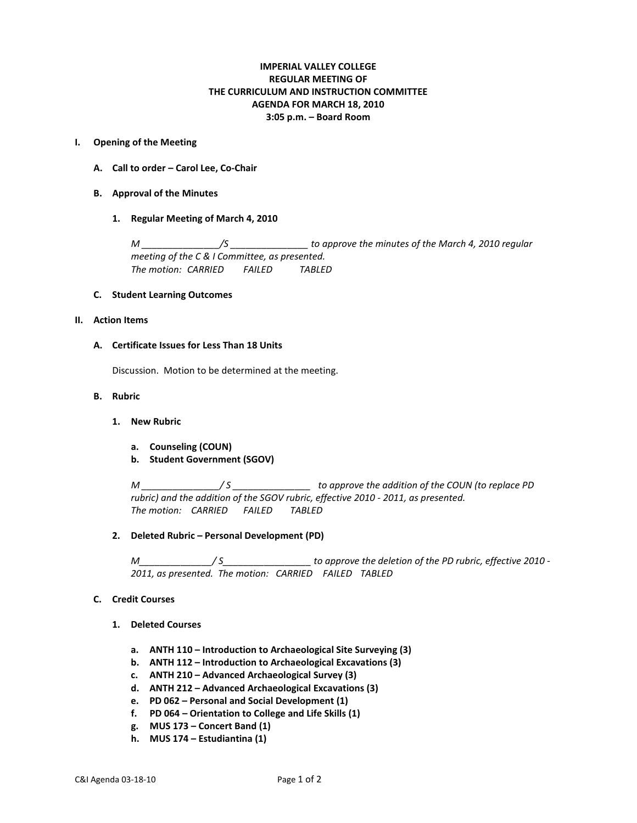# **IMPERIAL VALLEY COLLEGE REGULAR MEETING OF THE CURRICULUM AND INSTRUCTION COMMITTEE AGENDA FOR MARCH 18, 2010 3:05 p.m. – Board Room**

### **I. Opening of the Meeting**

- **A. Call to order – Carol Lee, Co-Chair**
- **B. Approval of the Minutes**
	- **1. Regular Meeting of March 4, 2010**

*M \_\_\_\_\_\_\_\_\_\_\_\_\_\_\_/S \_\_\_\_\_\_\_\_\_\_\_\_\_\_\_ to approve the minutes of the March 4, 2010 regular meeting of the C & I Committee, as presented. The motion: CARRIED FAILED TABLED*

### **C. Student Learning Outcomes**

### **II. Action Items**

### **A. Certificate Issues for Less Than 18 Units**

Discussion. Motion to be determined at the meeting.

# **B. Rubric**

- **1. New Rubric**
	- **a. Counseling (COUN)**
	- **b. Student Government (SGOV)**

*M \_\_\_\_\_\_\_\_\_\_\_\_\_\_\_/ S \_\_\_\_\_\_\_\_\_\_\_\_\_\_\_ to approve the addition of the COUN (to replace PD rubric) and the addition of the SGOV rubric, effective 2010 - 2011, as presented. The motion: CARRIED FAILED TABLED*

# **2. Deleted Rubric – Personal Development (PD)**

*M\_\_\_\_\_\_\_\_\_\_\_\_\_\_/ S\_\_\_\_\_\_\_\_\_\_\_\_\_\_\_\_\_ to approve the deletion of the PD rubric, effective 2010 - 2011, as presented. The motion: CARRIED FAILED TABLED*

# **C. Credit Courses**

- **1. Deleted Courses**
	- **a. ANTH 110 – Introduction to Archaeological Site Surveying (3)**
	- **b. ANTH 112 – Introduction to Archaeological Excavations (3)**
	- **c. ANTH 210 – Advanced Archaeological Survey (3)**
	- **d. ANTH 212 – Advanced Archaeological Excavations (3)**
	- **e. PD 062 – Personal and Social Development (1)**
	- **f. PD 064 – Orientation to College and Life Skills (1)**
	- **g. MUS 173 – Concert Band (1)**
	- **h. MUS 174 – Estudiantina (1)**